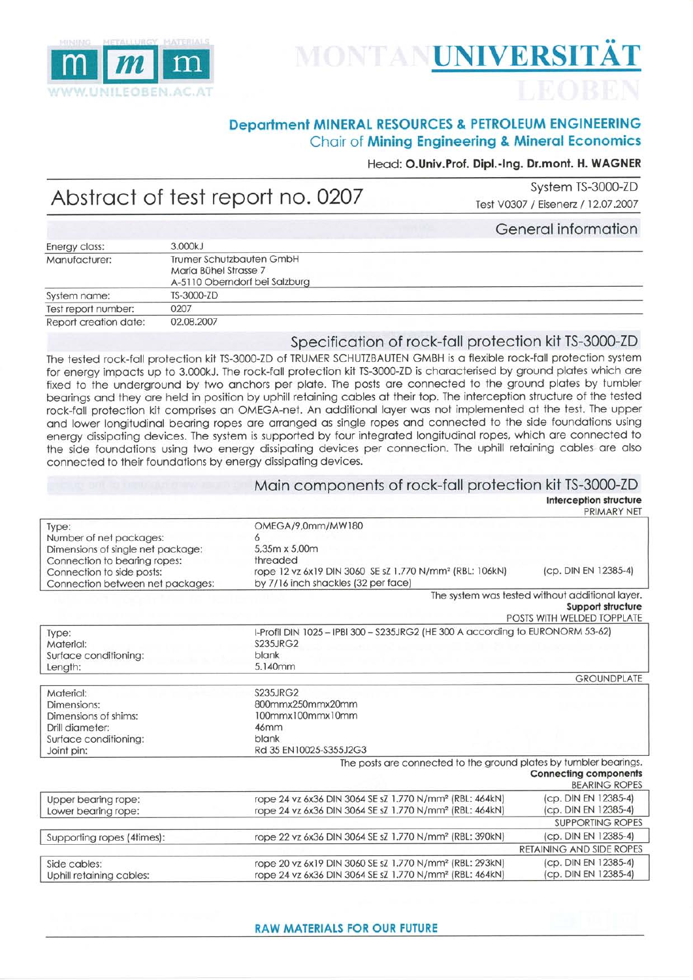

# MONTANUNIVERSITÄT

### **Department MINERAL RESOURCES & PETROLEUM ENGINEERING** Chair of Mining Engineering & Mineral Economics

#### Head: O.Univ.Prof. Dipl.-Ing. Dr.mont. H. WAGNER

## Abstract of test report no. 0207

System TS-3000-ZD Test V0307 / Eisenerz / 12.07.2007

Conoral information

|                       |                                                                                    | <b>PERSONAL PROPERTY</b> |
|-----------------------|------------------------------------------------------------------------------------|--------------------------|
| Energy class:         | 3.000kJ                                                                            |                          |
| Manufacturer:         | Trumer Schutzbauten GmbH<br>Maria Bühel Strasse 7<br>A-5110 Oberndorf bei Salzburg |                          |
| System name:          | TS-3000-ZD                                                                         |                          |
| Test report number:   | 0207                                                                               |                          |
| Report creation date: | 02.08.2007                                                                         |                          |

#### Specification of rock-fall protection kit TS-3000-ZD

The tested rock-fall protection kit TS-3000-ZD of TRUMER SCHUTZBAUTEN GMBH is a flexible rock-fall protection system for energy impacts up to 3.000kJ. The rock-fall protection kit TS-3000-ZD is characterised by ground plates which are fixed to the underground by two anchors per plate. The posts are connected to the ground plates by tumbler bearings and they are held in position by uphill retaining cables at their top. The interception structure of the tested rock-fall protection kit comprises an OMEGA-net. An additional layer was not implemented at the test. The upper and lower longitudinal bearing ropes are arranged as single ropes and connected to the side foundations using energy dissipating devices. The system is supported by four integrated longitudinal ropes, which are connected to the side foundations using two energy dissipating devices per connection. The uphill retaining cables are also connected to their foundations by energy dissipating devices.

#### Main components of rock-fall protection kit TS-3000-ZD

**Interception structure** 

|                                                                                                            |                                                                                                                                            | <b>PRIMARY NEI</b>                                                                                 |
|------------------------------------------------------------------------------------------------------------|--------------------------------------------------------------------------------------------------------------------------------------------|----------------------------------------------------------------------------------------------------|
| Type:<br>Number of net packages:<br>Dimensions of single net package:                                      | OMEGA/9,0mm/MW180<br>5,35m x 5,00m                                                                                                         |                                                                                                    |
| Connection to bearing ropes:<br>Connection to side posts:<br>Connection between net packages:              | threaded<br>rope 12 vz 6x19 DIN 3060 SE sZ 1.770 N/mm <sup>2</sup> (RBL: 106kN)<br>by 7/16 inch shackles (32 per face)                     | (cp. DIN EN 12385-4)                                                                               |
|                                                                                                            |                                                                                                                                            | The system was tested without additional layer.<br>Support structure<br>POSTS WITH WELDED TOPPLATE |
| Type:<br>Material:<br>Surface conditioning:<br>Length:                                                     | I-Profil DIN 1025 - IPBI 300 - S235JRG2 (HE 300 A according to EURONORM 53-62)<br><b>S235JRG2</b><br>blank<br>5.140mm                      |                                                                                                    |
|                                                                                                            |                                                                                                                                            | <b>GROUNDPLATE</b>                                                                                 |
| Material:<br>Dimensions:<br>Dimensions of shims:<br>Drill diameter:<br>Surface conditioning:<br>Joint pin: | <b>S235JRG2</b><br>800mmx250mmx20mm<br>100mmx100mmx10mm<br>46mm<br>blank<br>Rd 35 EN10025-S355J2G3                                         |                                                                                                    |
|                                                                                                            | The posts are connected to the ground plates by tumbler bearings.                                                                          | <b>Connecting components</b><br><b>BEARING ROPES</b>                                               |
| Upper bearing rope:<br>Lower bearing rope:                                                                 | rope 24 vz 6x36 DIN 3064 SE sZ 1.770 N/mm <sup>2</sup> (RBL: 464kN)<br>rope 24 vz 6x36 DIN 3064 SE sZ 1.770 N/mm <sup>2</sup> (RBL: 464kN) | (cp. DIN EN 12385-4)<br>(cp. DIN EN 12385-4)                                                       |
|                                                                                                            |                                                                                                                                            | <b>SUPPORTING ROPES</b>                                                                            |
| Supporting ropes (4times):                                                                                 | rope 22 vz 6x36 DIN 3064 SE sZ 1.770 N/mm <sup>2</sup> (RBL: 390kN)                                                                        | (cp. DIN EN 12385-4)                                                                               |
|                                                                                                            |                                                                                                                                            | <b>RETAINING AND SIDE ROPES</b>                                                                    |
| Side cables:<br>Uphill retaining cables:                                                                   | rope 20 vz 6x19 DIN 3060 SE sZ 1.770 N/mm <sup>2</sup> (RBL: 293kN)<br>rope 24 vz 6x36 DIN 3064 SE sZ 1.770 N/mm <sup>2</sup> (RBL: 464kN) | (cp. DIN EN 12385-4)<br>(cp. DIN EN 12385-4)                                                       |
|                                                                                                            |                                                                                                                                            |                                                                                                    |

**RAW MATERIALS FOR OUR FUTURE**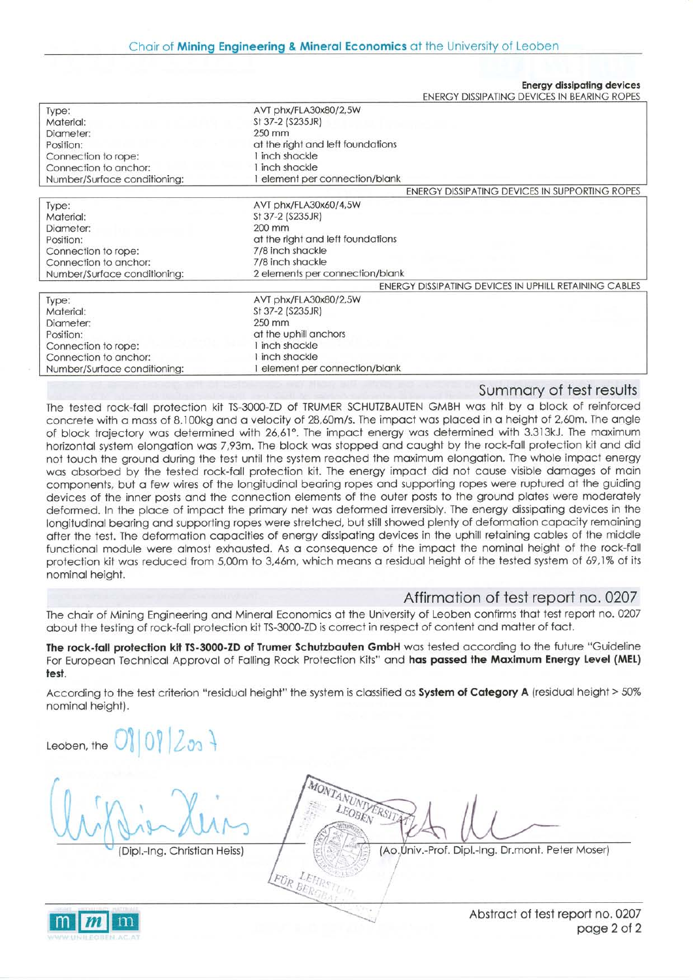**Energy dissingting devices** 

| AVT phx/FLA30x80/2,5W<br>Type:<br>St 37-2 (S235JR)<br>Material:<br>250 mm<br>Diameter:<br>at the right and left foundations<br>Position:<br>I inch shackle<br>Connection to rope:<br>I inch shackle<br>Connection to anchor: |  |
|------------------------------------------------------------------------------------------------------------------------------------------------------------------------------------------------------------------------------|--|
|                                                                                                                                                                                                                              |  |
|                                                                                                                                                                                                                              |  |
|                                                                                                                                                                                                                              |  |
|                                                                                                                                                                                                                              |  |
|                                                                                                                                                                                                                              |  |
|                                                                                                                                                                                                                              |  |
| element per connection/blank<br>Number/Surface conditioning:                                                                                                                                                                 |  |
| ENERGY DISSIPATING DEVICES IN SUPPORTING ROPES                                                                                                                                                                               |  |
| AVT phx/FLA30x60/4,5W<br>Type:                                                                                                                                                                                               |  |
| St 37-2 (S235JR)<br>Material:                                                                                                                                                                                                |  |
| 200 mm<br>Diameter:                                                                                                                                                                                                          |  |
| at the right and left foundations<br>Position:                                                                                                                                                                               |  |
| 7/8 inch shackle<br>Connection to rope:                                                                                                                                                                                      |  |
| 7/8 inch shackle<br>Connection to anchor:                                                                                                                                                                                    |  |
| 2 elements per connection/blank<br>Number/Surface conditioning:                                                                                                                                                              |  |
| ENERGY DISSIPATING DEVICES IN UPHILL RETAINING CABLES                                                                                                                                                                        |  |
| AVT phx/FLA30x80/2,5W<br>Type:                                                                                                                                                                                               |  |
| St 37-2 (S235JR)<br>Material:                                                                                                                                                                                                |  |
| $250$ mm<br>Diameter:                                                                                                                                                                                                        |  |
| at the uphill anchors<br>Position:                                                                                                                                                                                           |  |
| I inch shackle<br>Connection to rope:                                                                                                                                                                                        |  |
| inch shackle<br>Connection to anchor:                                                                                                                                                                                        |  |
| element per connection/blank<br>Number/Surface conditioning:                                                                                                                                                                 |  |

#### Summary of test results

The tested rock-fall protection kit TS-3000-ZD of TRUMER SCHUTZBAUTEN GMBH was hit by a block of reinforced concrete with a mass of 8.100kg and a velocity of 28,60m/s. The impact was placed in a height of 2,60m. The angle of block trajectory was determined with 26,61°. The impact energy was determined with 3.313kJ. The maximum horizontal system elongation was 7,93m. The block was stopped and caught by the rock-fall protection kit and did not touch the ground during the test until the system reached the maximum elongation. The whole impact energy was absorbed by the tested rock-fall protection kit. The energy impact did not cause visible damages of main components, but a few wires of the longitudinal bearing ropes and supporting ropes were ruptured at the guiding devices of the inner posts and the connection elements of the outer posts to the ground plates were moderately deformed. In the place of impact the primary net was deformed irreversibly. The energy dissipating devices in the longitudinal bearing and supporting ropes were stretched, but still showed plenty of deformation capacity remaining after the test. The deformation capacities of energy dissipating devices in the uphill retaining cables of the middle functional module were almost exhausted. As a consequence of the impact the nominal height of the rock-fall protection kit was reduced from 5,00m to 3,46m, which means a residual height of the tested system of 69,1% of its nominal height.

#### Affirmation of test report no. 0207

The chair of Mining Engineering and Mineral Economics at the University of Leoben confirms that test report no. 0207 about the testing of rock-fall protection kit TS-3000-ZD is correct in respect of content and matter of fact.

The rock-fall protection kit TS-3000-ZD of Trumer Schutzbauten GmbH was tested according to the future "Guideline For European Technical Approval of Falling Rock Protection Kits" and has passed the Maximum Energy Level (MEL) test.

According to the test criterion "residual height" the system is classified as System of Category A (residual height > 50% nominal height).

FÜR BER

Leoben, the

**VUNTYERSI** 

(Dipl.-Ing. Christian Heiss)

(Ao.Univ.-Prof. Dipl.-Ing. Dr.mont. Peter Moser)



Abstract of test report no. 0207 page 2 of 2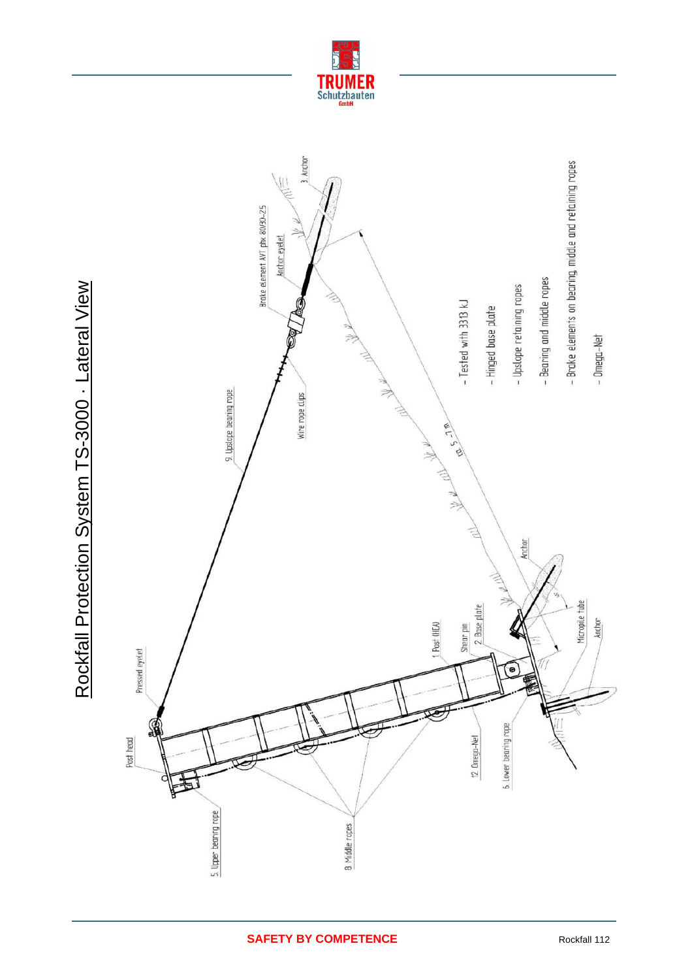